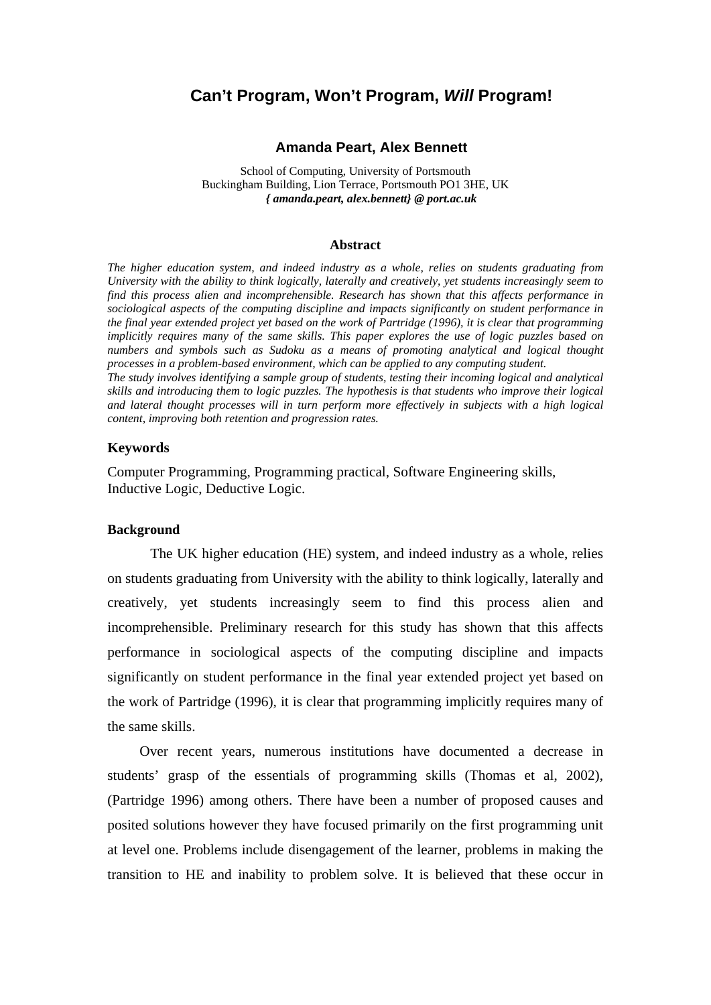# **Can't Program, Won't Program,** *Will* **Program!**

#### **Amanda Peart, Alex Bennett**

School of Computing, University of Portsmouth Buckingham Building, Lion Terrace, Portsmouth PO1 3HE, UK *{ amanda.peart, alex.bennett} @ port.ac.uk*

#### **Abstract**

*The higher education system, and indeed industry as a whole, relies on students graduating from University with the ability to think logically, laterally and creatively, yet students increasingly seem to find this process alien and incomprehensible. Research has shown that this affects performance in sociological aspects of the computing discipline and impacts significantly on student performance in the final year extended project yet based on the work of Partridge (1996), it is clear that programming implicitly requires many of the same skills. This paper explores the use of logic puzzles based on numbers and symbols such as Sudoku as a means of promoting analytical and logical thought processes in a problem-based environment, which can be applied to any computing student. The study involves identifying a sample group of students, testing their incoming logical and analytical skills and introducing them to logic puzzles. The hypothesis is that students who improve their logical and lateral thought processes will in turn perform more effectively in subjects with a high logical content, improving both retention and progression rates.* 

### **Keywords**

Computer Programming, Programming practical, Software Engineering skills, Inductive Logic, Deductive Logic.

### **Background**

The UK higher education (HE) system, and indeed industry as a whole, relies on students graduating from University with the ability to think logically, laterally and creatively, yet students increasingly seem to find this process alien and incomprehensible. Preliminary research for this study has shown that this affects performance in sociological aspects of the computing discipline and impacts significantly on student performance in the final year extended project yet based on the work of Partridge (1996), it is clear that programming implicitly requires many of the same skills.

Over recent years, numerous institutions have documented a decrease in students' grasp of the essentials of programming skills (Thomas et al, 2002), (Partridge 1996) among others. There have been a number of proposed causes and posited solutions however they have focused primarily on the first programming unit at level one. Problems include disengagement of the learner, problems in making the transition to HE and inability to problem solve. It is believed that these occur in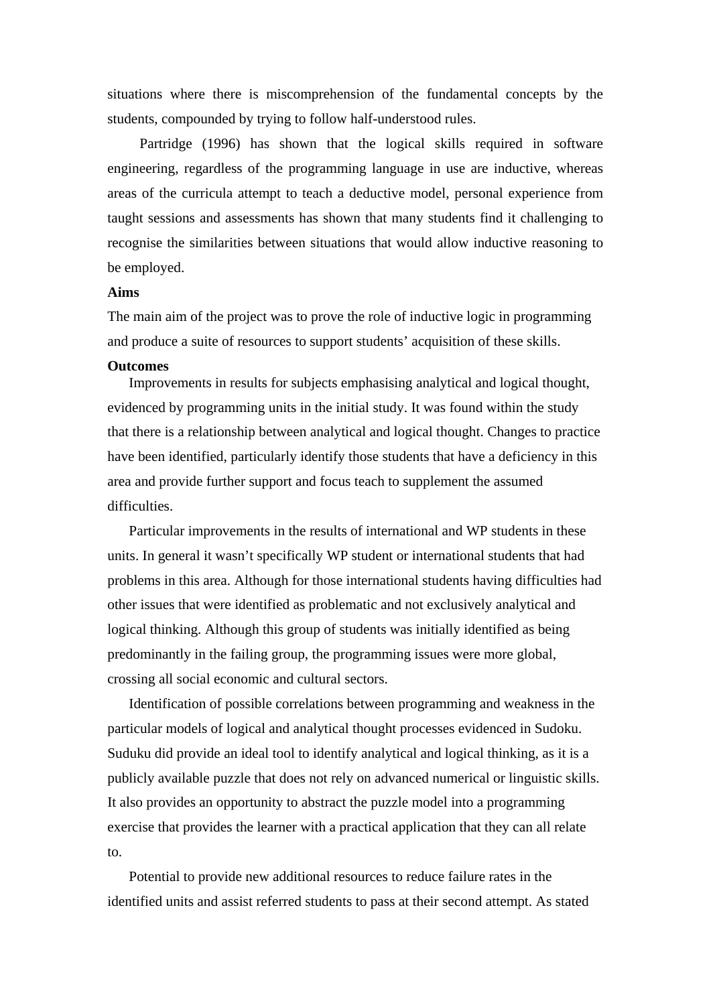situations where there is miscomprehension of the fundamental concepts by the students, compounded by trying to follow half-understood rules.

Partridge (1996) has shown that the logical skills required in software engineering, regardless of the programming language in use are inductive, whereas areas of the curricula attempt to teach a deductive model, personal experience from taught sessions and assessments has shown that many students find it challenging to recognise the similarities between situations that would allow inductive reasoning to be employed.

# **Aims**

The main aim of the project was to prove the role of inductive logic in programming and produce a suite of resources to support students' acquisition of these skills.

### **Outcomes**

Improvements in results for subjects emphasising analytical and logical thought, evidenced by programming units in the initial study. It was found within the study that there is a relationship between analytical and logical thought. Changes to practice have been identified, particularly identify those students that have a deficiency in this area and provide further support and focus teach to supplement the assumed difficulties.

Particular improvements in the results of international and WP students in these units. In general it wasn't specifically WP student or international students that had problems in this area. Although for those international students having difficulties had other issues that were identified as problematic and not exclusively analytical and logical thinking. Although this group of students was initially identified as being predominantly in the failing group, the programming issues were more global, crossing all social economic and cultural sectors.

Identification of possible correlations between programming and weakness in the particular models of logical and analytical thought processes evidenced in Sudoku. Suduku did provide an ideal tool to identify analytical and logical thinking, as it is a publicly available puzzle that does not rely on advanced numerical or linguistic skills. It also provides an opportunity to abstract the puzzle model into a programming exercise that provides the learner with a practical application that they can all relate to.

Potential to provide new additional resources to reduce failure rates in the identified units and assist referred students to pass at their second attempt. As stated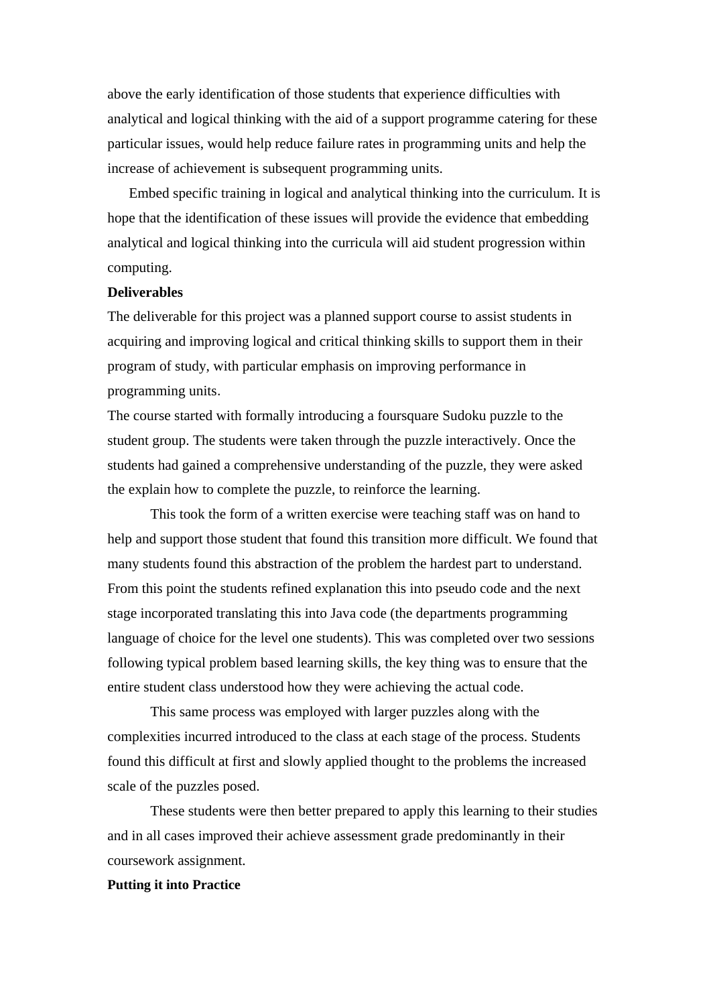above the early identification of those students that experience difficulties with analytical and logical thinking with the aid of a support programme catering for these particular issues, would help reduce failure rates in programming units and help the increase of achievement is subsequent programming units.

Embed specific training in logical and analytical thinking into the curriculum. It is hope that the identification of these issues will provide the evidence that embedding analytical and logical thinking into the curricula will aid student progression within computing.

### **Deliverables**

The deliverable for this project was a planned support course to assist students in acquiring and improving logical and critical thinking skills to support them in their program of study, with particular emphasis on improving performance in programming units.

The course started with formally introducing a foursquare Sudoku puzzle to the student group. The students were taken through the puzzle interactively. Once the students had gained a comprehensive understanding of the puzzle, they were asked the explain how to complete the puzzle, to reinforce the learning.

 This took the form of a written exercise were teaching staff was on hand to help and support those student that found this transition more difficult. We found that many students found this abstraction of the problem the hardest part to understand. From this point the students refined explanation this into pseudo code and the next stage incorporated translating this into Java code (the departments programming language of choice for the level one students). This was completed over two sessions following typical problem based learning skills, the key thing was to ensure that the entire student class understood how they were achieving the actual code.

This same process was employed with larger puzzles along with the complexities incurred introduced to the class at each stage of the process. Students found this difficult at first and slowly applied thought to the problems the increased scale of the puzzles posed.

These students were then better prepared to apply this learning to their studies and in all cases improved their achieve assessment grade predominantly in their coursework assignment.

# **Putting it into Practice**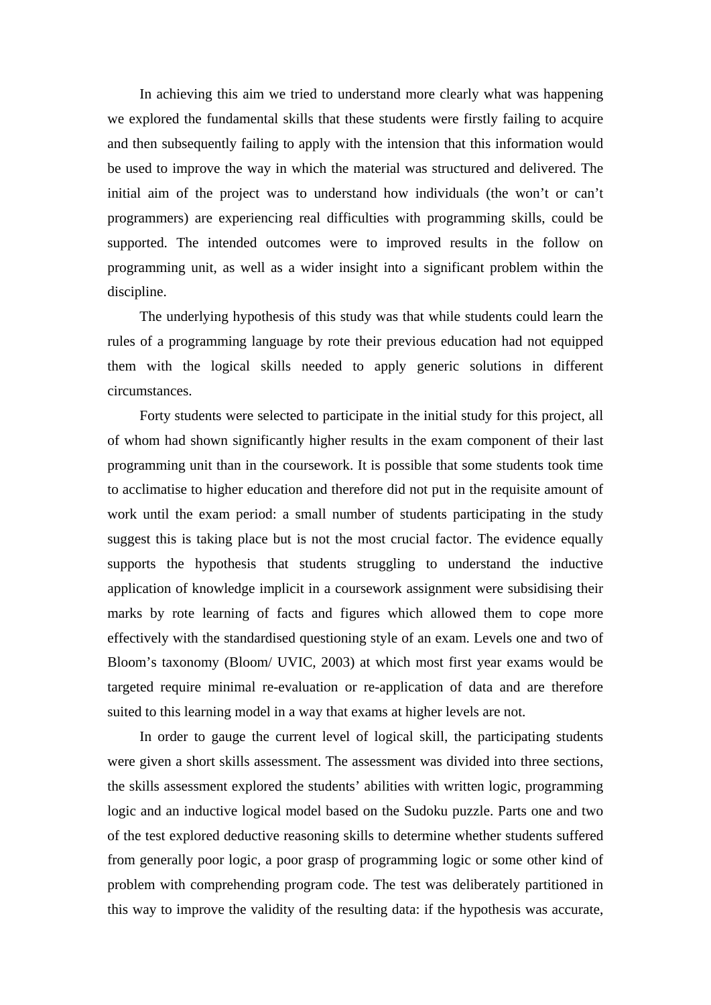In achieving this aim we tried to understand more clearly what was happening we explored the fundamental skills that these students were firstly failing to acquire and then subsequently failing to apply with the intension that this information would be used to improve the way in which the material was structured and delivered. The initial aim of the project was to understand how individuals (the won't or can't programmers) are experiencing real difficulties with programming skills, could be supported. The intended outcomes were to improved results in the follow on programming unit, as well as a wider insight into a significant problem within the discipline.

The underlying hypothesis of this study was that while students could learn the rules of a programming language by rote their previous education had not equipped them with the logical skills needed to apply generic solutions in different circumstances.

Forty students were selected to participate in the initial study for this project, all of whom had shown significantly higher results in the exam component of their last programming unit than in the coursework. It is possible that some students took time to acclimatise to higher education and therefore did not put in the requisite amount of work until the exam period: a small number of students participating in the study suggest this is taking place but is not the most crucial factor. The evidence equally supports the hypothesis that students struggling to understand the inductive application of knowledge implicit in a coursework assignment were subsidising their marks by rote learning of facts and figures which allowed them to cope more effectively with the standardised questioning style of an exam. Levels one and two of Bloom's taxonomy (Bloom/ UVIC, 2003) at which most first year exams would be targeted require minimal re-evaluation or re-application of data and are therefore suited to this learning model in a way that exams at higher levels are not.

In order to gauge the current level of logical skill, the participating students were given a short skills assessment. The assessment was divided into three sections, the skills assessment explored the students' abilities with written logic, programming logic and an inductive logical model based on the Sudoku puzzle. Parts one and two of the test explored deductive reasoning skills to determine whether students suffered from generally poor logic, a poor grasp of programming logic or some other kind of problem with comprehending program code. The test was deliberately partitioned in this way to improve the validity of the resulting data: if the hypothesis was accurate,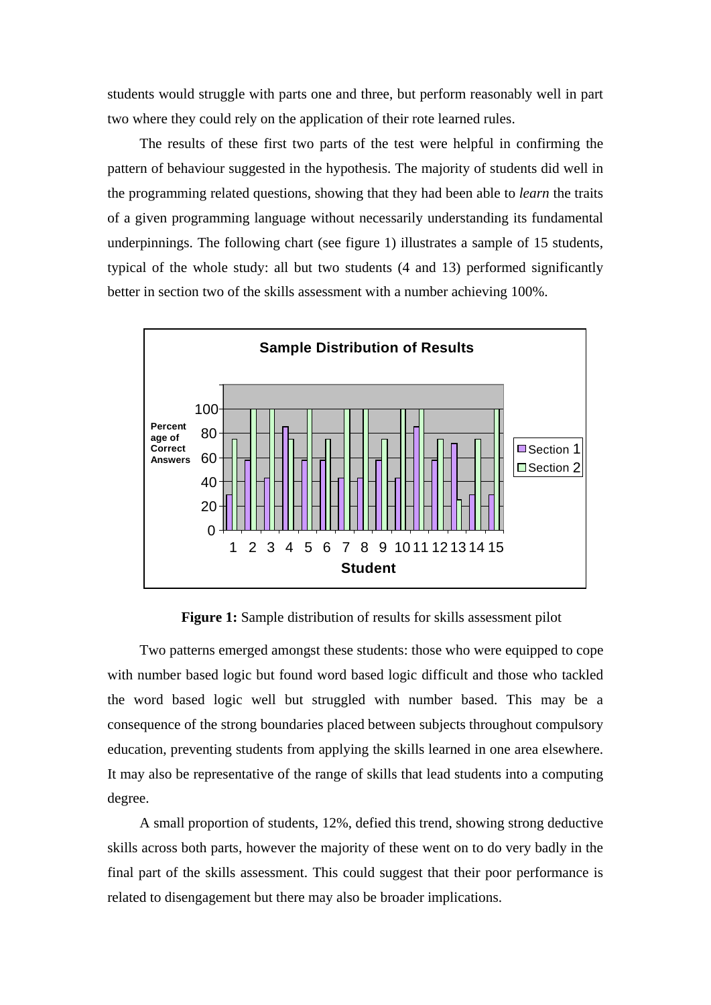students would struggle with parts one and three, but perform reasonably well in part two where they could rely on the application of their rote learned rules.

The results of these first two parts of the test were helpful in confirming the pattern of behaviour suggested in the hypothesis. The majority of students did well in the programming related questions, showing that they had been able to *learn* the traits of a given programming language without necessarily understanding its fundamental underpinnings. The following chart (see figure 1) illustrates a sample of 15 students, typical of the whole study: all but two students (4 and 13) performed significantly better in section two of the skills assessment with a number achieving 100%.



**Figure 1:** Sample distribution of results for skills assessment pilot

Two patterns emerged amongst these students: those who were equipped to cope with number based logic but found word based logic difficult and those who tackled the word based logic well but struggled with number based. This may be a consequence of the strong boundaries placed between subjects throughout compulsory education, preventing students from applying the skills learned in one area elsewhere. It may also be representative of the range of skills that lead students into a computing degree.

A small proportion of students, 12%, defied this trend, showing strong deductive skills across both parts, however the majority of these went on to do very badly in the final part of the skills assessment. This could suggest that their poor performance is related to disengagement but there may also be broader implications.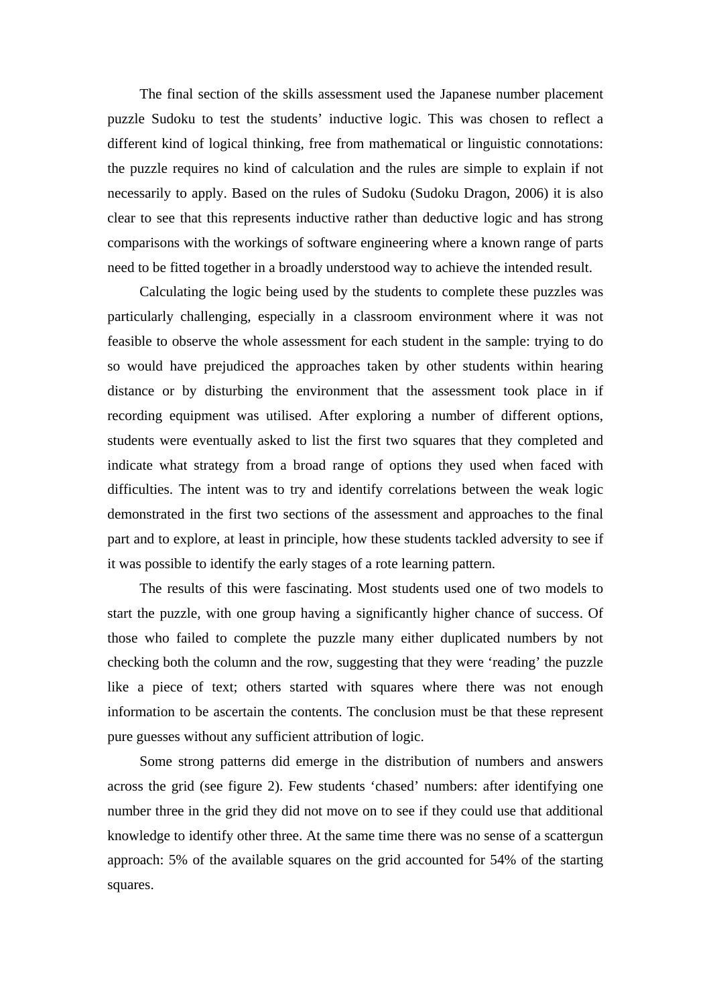The final section of the skills assessment used the Japanese number placement puzzle Sudoku to test the students' inductive logic. This was chosen to reflect a different kind of logical thinking, free from mathematical or linguistic connotations: the puzzle requires no kind of calculation and the rules are simple to explain if not necessarily to apply. Based on the rules of Sudoku (Sudoku Dragon, 2006) it is also clear to see that this represents inductive rather than deductive logic and has strong comparisons with the workings of software engineering where a known range of parts need to be fitted together in a broadly understood way to achieve the intended result.

Calculating the logic being used by the students to complete these puzzles was particularly challenging, especially in a classroom environment where it was not feasible to observe the whole assessment for each student in the sample: trying to do so would have prejudiced the approaches taken by other students within hearing distance or by disturbing the environment that the assessment took place in if recording equipment was utilised. After exploring a number of different options, students were eventually asked to list the first two squares that they completed and indicate what strategy from a broad range of options they used when faced with difficulties. The intent was to try and identify correlations between the weak logic demonstrated in the first two sections of the assessment and approaches to the final part and to explore, at least in principle, how these students tackled adversity to see if it was possible to identify the early stages of a rote learning pattern.

The results of this were fascinating. Most students used one of two models to start the puzzle, with one group having a significantly higher chance of success. Of those who failed to complete the puzzle many either duplicated numbers by not checking both the column and the row, suggesting that they were 'reading' the puzzle like a piece of text; others started with squares where there was not enough information to be ascertain the contents. The conclusion must be that these represent pure guesses without any sufficient attribution of logic.

Some strong patterns did emerge in the distribution of numbers and answers across the grid (see figure 2). Few students 'chased' numbers: after identifying one number three in the grid they did not move on to see if they could use that additional knowledge to identify other three. At the same time there was no sense of a scattergun approach: 5% of the available squares on the grid accounted for 54% of the starting squares.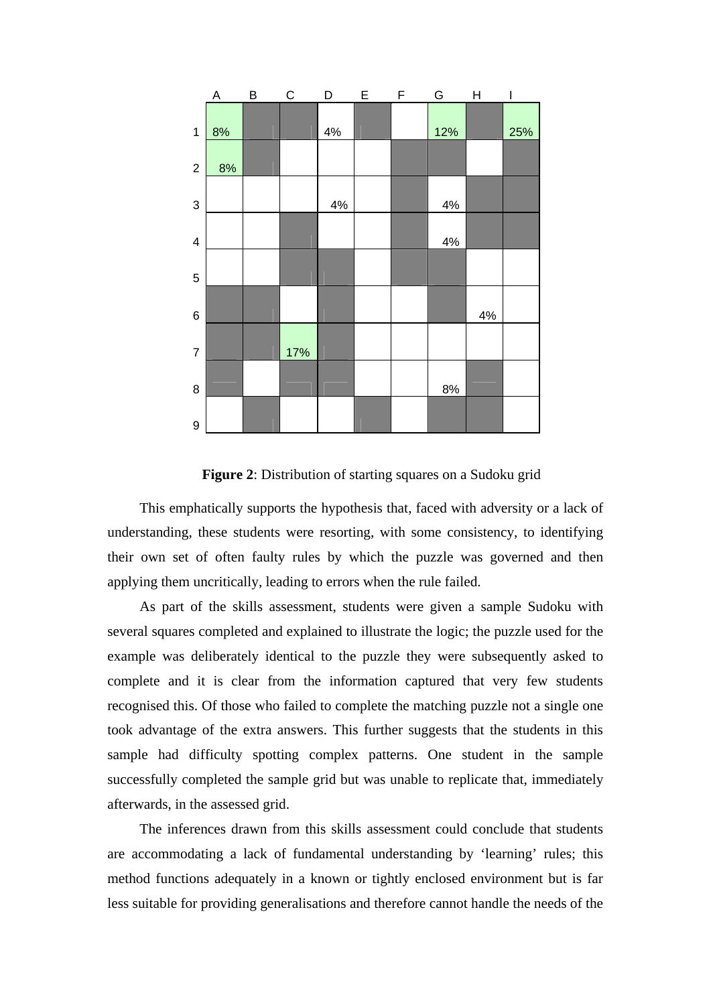

**Figure 2**: Distribution of starting squares on a Sudoku grid

This emphatically supports the hypothesis that, faced with adversity or a lack of understanding, these students were resorting, with some consistency, to identifying their own set of often faulty rules by which the puzzle was governed and then applying them uncritically, leading to errors when the rule failed.

As part of the skills assessment, students were given a sample Sudoku with several squares completed and explained to illustrate the logic; the puzzle used for the example was deliberately identical to the puzzle they were subsequently asked to complete and it is clear from the information captured that very few students recognised this. Of those who failed to complete the matching puzzle not a single one took advantage of the extra answers. This further suggests that the students in this sample had difficulty spotting complex patterns. One student in the sample successfully completed the sample grid but was unable to replicate that, immediately afterwards, in the assessed grid.

The inferences drawn from this skills assessment could conclude that students are accommodating a lack of fundamental understanding by 'learning' rules; this method functions adequately in a known or tightly enclosed environment but is far less suitable for providing generalisations and therefore cannot handle the needs of the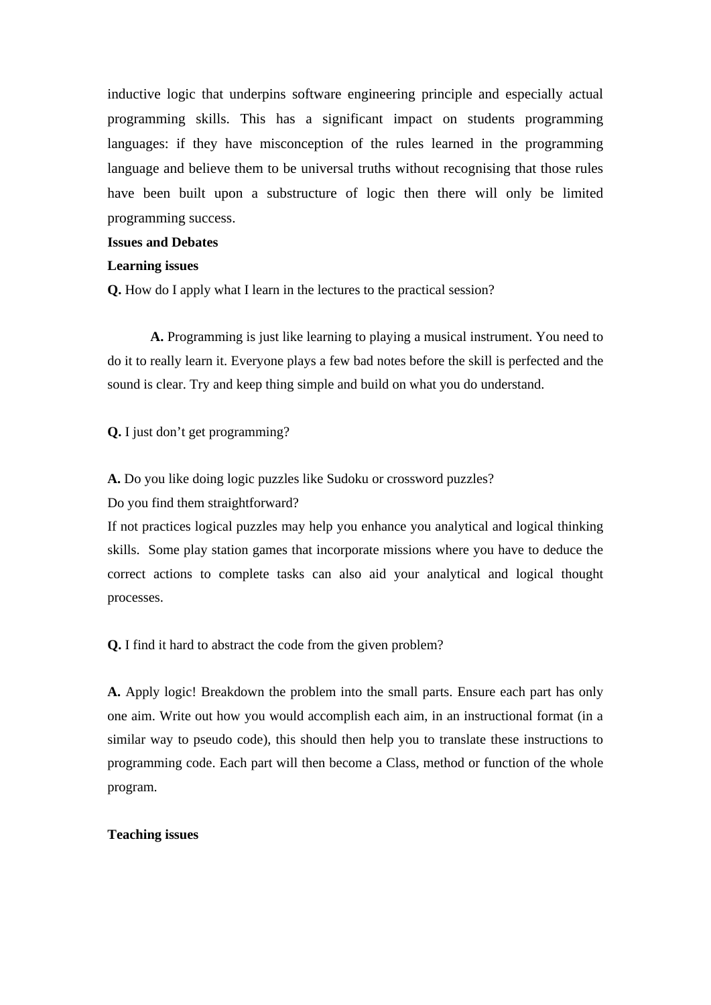inductive logic that underpins software engineering principle and especially actual programming skills. This has a significant impact on students programming languages: if they have misconception of the rules learned in the programming language and believe them to be universal truths without recognising that those rules have been built upon a substructure of logic then there will only be limited programming success.

# **Issues and Debates**

### **Learning issues**

**Q.** How do I apply what I learn in the lectures to the practical session?

**A.** Programming is just like learning to playing a musical instrument. You need to do it to really learn it. Everyone plays a few bad notes before the skill is perfected and the sound is clear. Try and keep thing simple and build on what you do understand.

**Q.** I just don't get programming?

**A.** Do you like doing logic puzzles like Sudoku or crossword puzzles?

Do you find them straightforward?

If not practices logical puzzles may help you enhance you analytical and logical thinking skills. Some play station games that incorporate missions where you have to deduce the correct actions to complete tasks can also aid your analytical and logical thought processes.

**Q.** I find it hard to abstract the code from the given problem?

**A.** Apply logic! Breakdown the problem into the small parts. Ensure each part has only one aim. Write out how you would accomplish each aim, in an instructional format (in a similar way to pseudo code), this should then help you to translate these instructions to programming code. Each part will then become a Class, method or function of the whole program.

#### **Teaching issues**